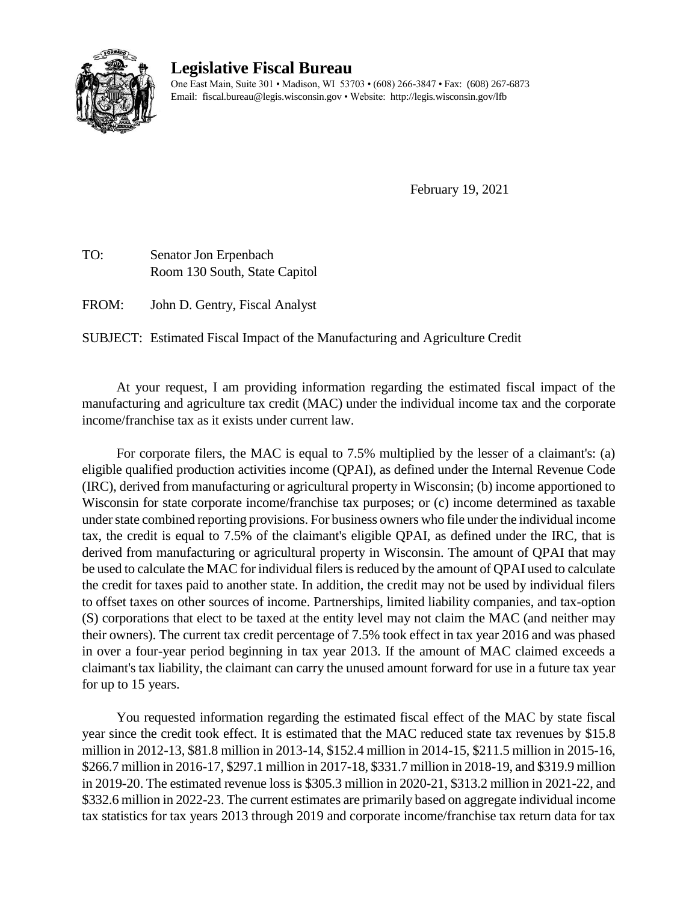

## **Legislative Fiscal Bureau**

One East Main, Suite 301 • Madison, WI 53703 • (608) 266-3847 • Fax: (608) 267-6873 Email: fiscal.bureau@legis.wisconsin.gov • Website:<http://legis.wisconsin.gov/lfb>

February 19, 2021

TO: Senator Jon Erpenbach Room 130 South, State Capitol

FROM: John D. Gentry, Fiscal Analyst

SUBJECT: Estimated Fiscal Impact of the Manufacturing and Agriculture Credit

At your request, I am providing information regarding the estimated fiscal impact of the manufacturing and agriculture tax credit (MAC) under the individual income tax and the corporate income/franchise tax as it exists under current law.

For corporate filers, the MAC is equal to 7.5% multiplied by the lesser of a claimant's: (a) eligible qualified production activities income (QPAI), as defined under the Internal Revenue Code (IRC), derived from manufacturing or agricultural property in Wisconsin; (b) income apportioned to Wisconsin for state corporate income/franchise tax purposes; or (c) income determined as taxable under state combined reporting provisions. For business owners who file under the individual income tax, the credit is equal to 7.5% of the claimant's eligible QPAI, as defined under the IRC, that is derived from manufacturing or agricultural property in Wisconsin. The amount of QPAI that may be used to calculate the MAC for individual filers is reduced by the amount of QPAI used to calculate the credit for taxes paid to another state. In addition, the credit may not be used by individual filers to offset taxes on other sources of income. Partnerships, limited liability companies, and tax-option (S) corporations that elect to be taxed at the entity level may not claim the MAC (and neither may their owners). The current tax credit percentage of 7.5% took effect in tax year 2016 and was phased in over a four-year period beginning in tax year 2013. If the amount of MAC claimed exceeds a claimant's tax liability, the claimant can carry the unused amount forward for use in a future tax year for up to 15 years.

You requested information regarding the estimated fiscal effect of the MAC by state fiscal year since the credit took effect. It is estimated that the MAC reduced state tax revenues by \$15.8 million in 2012-13, \$81.8 million in 2013-14, \$152.4 million in 2014-15, \$211.5 million in 2015-16, \$266.7 million in 2016-17, \$297.1 million in 2017-18, \$331.7 million in 2018-19, and \$319.9 million in 2019-20. The estimated revenue loss is \$305.3 million in 2020-21, \$313.2 million in 2021-22, and \$332.6 million in 2022-23. The current estimates are primarily based on aggregate individual income tax statistics for tax years 2013 through 2019 and corporate income/franchise tax return data for tax